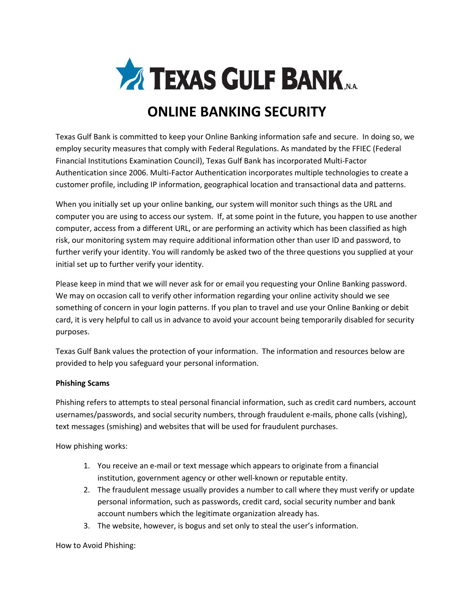

# **ONLINE BANKING SECURITY**

Texas Gulf Bank is committed to keep your Online Banking information safe and secure. In doing so, we employ security measures that comply with Federal Regulations. As mandated by the FFIEC (Federal Financial Institutions Examination Council), Texas Gulf Bank has incorporated Multi-Factor Authentication since 2006. Multi-Factor Authentication incorporates multiple technologies to create a customer profile, including IP information, geographical location and transactional data and patterns.

When you initially set up your online banking, our system will monitor such things as the URL and computer you are using to access our system. If, at some point in the future, you happen to use another computer, access from a different URL, or are performing an activity which has been classified as high risk, our monitoring system may require additional information other than user ID and password, to further verify your identity. You will randomly be asked two of the three questions you supplied at your initial set up to further verify your identity.

Please keep in mind that we will never ask for or email you requesting your Online Banking password. We may on occasion call to verify other information regarding your online activity should we see something of concern in your login patterns. If you plan to travel and use your Online Banking or debit card, it is very helpful to call us in advance to avoid your account being temporarily disabled for security purposes.

Texas Gulf Bank values the protection of your information. The information and resources below are provided to help you safeguard your personal information.

# **Phishing Scams**

Phishing refers to attempts to steal personal financial information, such as credit card numbers, account usernames/passwords, and social security numbers, through fraudulent e-mails, phone calls (vishing), text messages (smishing) and websites that will be used for fraudulent purchases.

How phishing works:

- 1. You receive an e-mail or text message which appears to originate from a financial institution, government agency or other well-known or reputable entity.
- 2. The fraudulent message usually provides a number to call where they must verify or update personal information, such as passwords, credit card, social security number and bank account numbers which the legitimate organization already has.
- 3. The website, however, is bogus and set only to steal the user's information.

How to Avoid Phishing: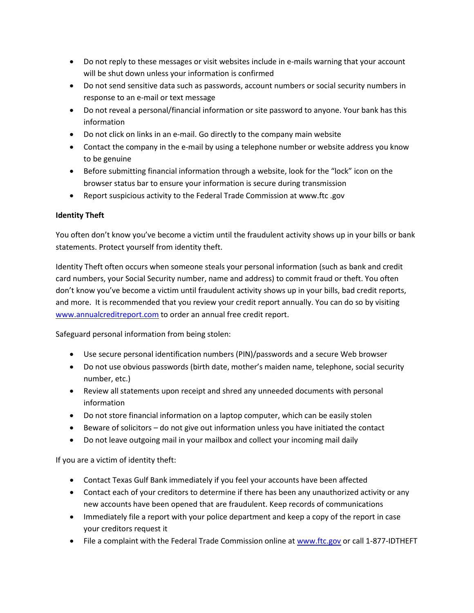- Do not reply to these messages or visit websites include in e-mails warning that your account will be shut down unless your information is confirmed
- Do not send sensitive data such as passwords, account numbers or social security numbers in response to an e-mail or text message
- Do not reveal a personal/financial information or site password to anyone. Your bank has this information
- Do not click on links in an e-mail. Go directly to the company main website
- Contact the company in the e-mail by using a telephone number or website address you know to be genuine
- Before submitting financial information through a website, look for the "lock" icon on the browser status bar to ensure your information is secure during transmission
- Report suspicious activity to the Federal Trade Commission at www.ftc .gov

# **Identity Theft**

You often don't know you've become a victim until the fraudulent activity shows up in your bills or bank statements. Protect yourself from identity theft.

Identity Theft often occurs when someone steals your personal information (such as bank and credit card numbers, your Social Security number, name and address) to commit fraud or theft. You often don't know you've become a victim until fraudulent activity shows up in your bills, bad credit reports, and more. It is recommended that you review your credit report annually. You can do so by visiting [www.annualcreditreport.com](http://www.annualcreditreport.com/) to order an annual free credit report.

Safeguard personal information from being stolen:

- Use secure personal identification numbers (PIN)/passwords and a secure Web browser
- Do not use obvious passwords (birth date, mother's maiden name, telephone, social security number, etc.)
- Review all statements upon receipt and shred any unneeded documents with personal information
- Do not store financial information on a laptop computer, which can be easily stolen
- Beware of solicitors do not give out information unless you have initiated the contact
- Do not leave outgoing mail in your mailbox and collect your incoming mail daily

If you are a victim of identity theft:

- Contact Texas Gulf Bank immediately if you feel your accounts have been affected
- Contact each of your creditors to determine if there has been any unauthorized activity or any new accounts have been opened that are fraudulent. Keep records of communications
- Immediately file a report with your police department and keep a copy of the report in case your creditors request it
- File a complaint with the Federal Trade Commission online a[t www.ftc.gov](http://www.ftc.gov/) or call 1-877-IDTHEFT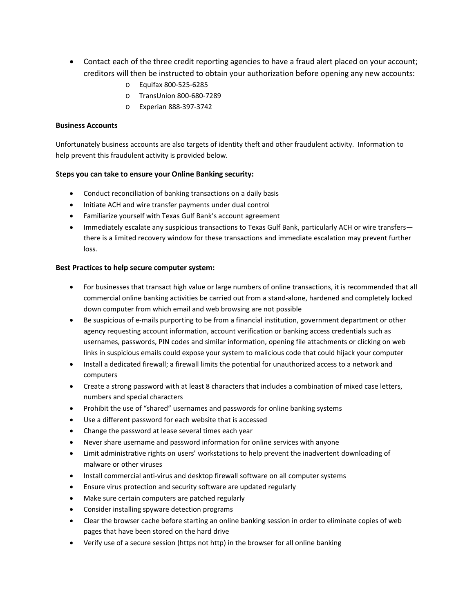- Contact each of the three credit reporting agencies to have a fraud alert placed on your account; creditors will then be instructed to obtain your authorization before opening any new accounts:
	- o Equifax 800-525-6285
	- o TransUnion 800-680-7289
	- o Experian 888-397-3742

### **Business Accounts**

Unfortunately business accounts are also targets of identity theft and other fraudulent activity. Information to help prevent this fraudulent activity is provided below.

## **Steps you can take to ensure your Online Banking security:**

- Conduct reconciliation of banking transactions on a daily basis
- Initiate ACH and wire transfer payments under dual control
- Familiarize yourself with Texas Gulf Bank's account agreement
- Immediately escalate any suspicious transactions to Texas Gulf Bank, particularly ACH or wire transfers there is a limited recovery window for these transactions and immediate escalation may prevent further loss.

#### **Best Practices to help secure computer system:**

- For businesses that transact high value or large numbers of online transactions, it is recommended that all commercial online banking activities be carried out from a stand-alone, hardened and completely locked down computer from which email and web browsing are not possible
- Be suspicious of e-mails purporting to be from a financial institution, government department or other agency requesting account information, account verification or banking access credentials such as usernames, passwords, PIN codes and similar information, opening file attachments or clicking on web links in suspicious emails could expose your system to malicious code that could hijack your computer
- Install a dedicated firewall; a firewall limits the potential for unauthorized access to a network and computers
- Create a strong password with at least 8 characters that includes a combination of mixed case letters, numbers and special characters
- Prohibit the use of "shared" usernames and passwords for online banking systems
- Use a different password for each website that is accessed
- Change the password at lease several times each year
- Never share username and password information for online services with anyone
- Limit administrative rights on users' workstations to help prevent the inadvertent downloading of malware or other viruses
- Install commercial anti-virus and desktop firewall software on all computer systems
- Ensure virus protection and security software are updated regularly
- Make sure certain computers are patched regularly
- Consider installing spyware detection programs
- Clear the browser cache before starting an online banking session in order to eliminate copies of web pages that have been stored on the hard drive
- Verify use of a secure session (https not http) in the browser for all online banking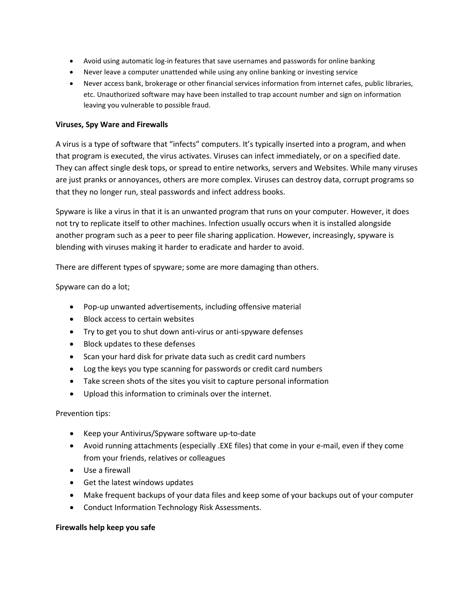- Avoid using automatic log-in features that save usernames and passwords for online banking
- Never leave a computer unattended while using any online banking or investing service
- Never access bank, brokerage or other financial services information from internet cafes, public libraries, etc. Unauthorized software may have been installed to trap account number and sign on information leaving you vulnerable to possible fraud.

### **Viruses, Spy Ware and Firewalls**

A virus is a type of software that "infects" computers. It's typically inserted into a program, and when that program is executed, the virus activates. Viruses can infect immediately, or on a specified date. They can affect single desk tops, or spread to entire networks, servers and Websites. While many viruses are just pranks or annoyances, others are more complex. Viruses can destroy data, corrupt programs so that they no longer run, steal passwords and infect address books.

Spyware is like a virus in that it is an unwanted program that runs on your computer. However, it does not try to replicate itself to other machines. Infection usually occurs when it is installed alongside another program such as a peer to peer file sharing application. However, increasingly, spyware is blending with viruses making it harder to eradicate and harder to avoid.

There are different types of spyware; some are more damaging than others.

Spyware can do a lot;

- Pop-up unwanted advertisements, including offensive material
- Block access to certain websites
- Try to get you to shut down anti-virus or anti-spyware defenses
- Block updates to these defenses
- Scan your hard disk for private data such as credit card numbers
- Log the keys you type scanning for passwords or credit card numbers
- Take screen shots of the sites you visit to capture personal information
- Upload this information to criminals over the internet.

Prevention tips:

- Keep your Antivirus/Spyware software up-to-date
- Avoid running attachments (especially .EXE files) that come in your e-mail, even if they come from your friends, relatives or colleagues
- Use a firewall
- Get the latest windows updates
- Make frequent backups of your data files and keep some of your backups out of your computer
- Conduct Information Technology Risk Assessments.

#### **Firewalls help keep you safe**